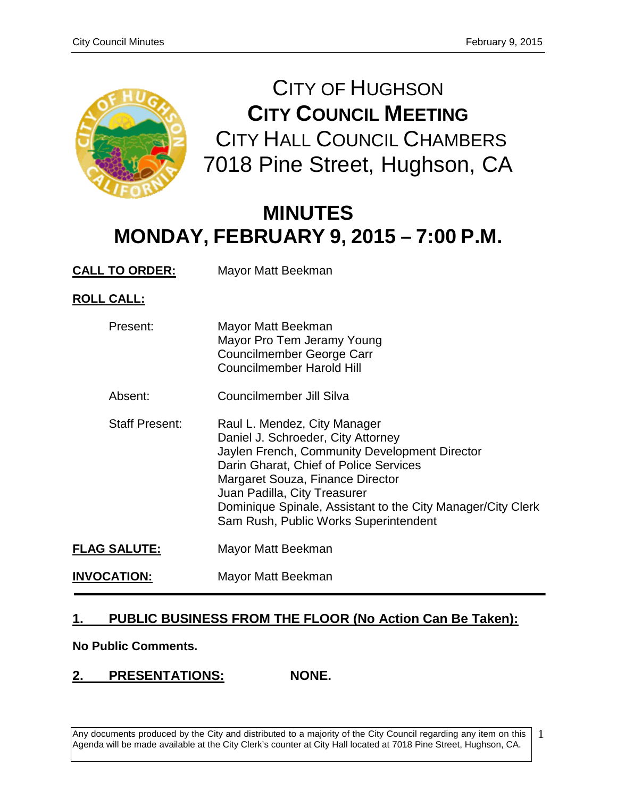

CITY OF HUGHSON **CITY COUNCIL MEETING** CITY HALL COUNCIL CHAMBERS 7018 Pine Street, Hughson, CA

# **MINUTES MONDAY, FEBRUARY 9, 2015 – 7:00 P.M.**

**CALL TO ORDER:** Mayor Matt Beekman

**ROLL CALL:**

| Present:              | Mayor Matt Beekman<br>Mayor Pro Tem Jeramy Young<br><b>Councilmember George Carr</b><br><b>Councilmember Harold Hill</b>                                                                                                                                                                                                                  |
|-----------------------|-------------------------------------------------------------------------------------------------------------------------------------------------------------------------------------------------------------------------------------------------------------------------------------------------------------------------------------------|
| Absent:               | Councilmember Jill Silva                                                                                                                                                                                                                                                                                                                  |
| <b>Staff Present:</b> | Raul L. Mendez, City Manager<br>Daniel J. Schroeder, City Attorney<br>Jaylen French, Community Development Director<br>Darin Gharat, Chief of Police Services<br>Margaret Souza, Finance Director<br>Juan Padilla, City Treasurer<br>Dominique Spinale, Assistant to the City Manager/City Clerk<br>Sam Rush, Public Works Superintendent |
| <b>FLAG SALUTE:</b>   | Mayor Matt Beekman                                                                                                                                                                                                                                                                                                                        |
| <b>INVOCATION:</b>    | Mayor Matt Beekman                                                                                                                                                                                                                                                                                                                        |

# **1. PUBLIC BUSINESS FROM THE FLOOR (No Action Can Be Taken):**

**No Public Comments.**

## **2. PRESENTATIONS: NONE.**

Any documents produced by the City and distributed to a majority of the City Council regarding any item on this Agenda will be made available at the City Clerk's counter at City Hall located at 7018 Pine Street, Hughson, CA.

1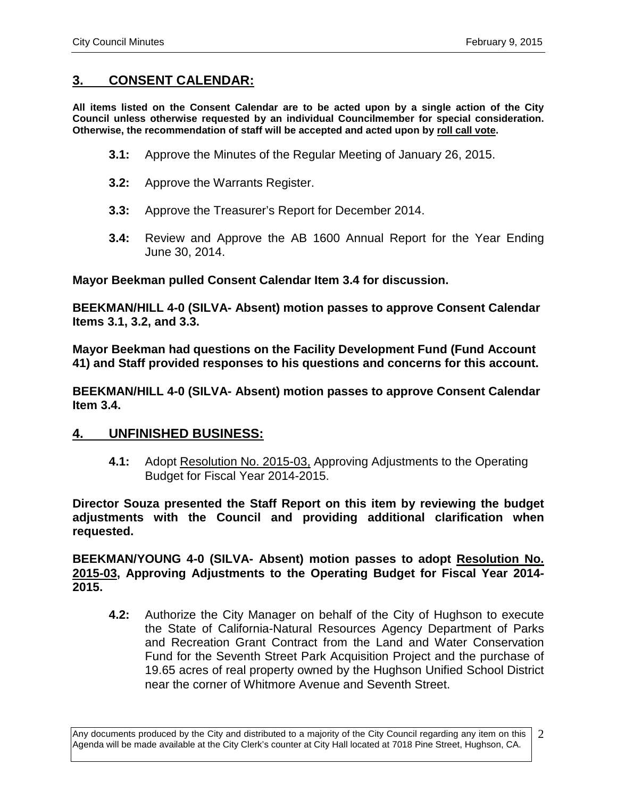## **3. CONSENT CALENDAR:**

**All items listed on the Consent Calendar are to be acted upon by a single action of the City Council unless otherwise requested by an individual Councilmember for special consideration. Otherwise, the recommendation of staff will be accepted and acted upon by roll call vote.**

- **3.1:** Approve the Minutes of the Regular Meeting of January 26, 2015.
- **3.2:** Approve the Warrants Register.
- **3.3:** Approve the Treasurer's Report for December 2014.
- **3.4:** Review and Approve the AB 1600 Annual Report for the Year Ending June 30, 2014.

**Mayor Beekman pulled Consent Calendar Item 3.4 for discussion.** 

**BEEKMAN/HILL 4-0 (SILVA- Absent) motion passes to approve Consent Calendar Items 3.1, 3.2, and 3.3.** 

**Mayor Beekman had questions on the Facility Development Fund (Fund Account 41) and Staff provided responses to his questions and concerns for this account.**

**BEEKMAN/HILL 4-0 (SILVA- Absent) motion passes to approve Consent Calendar Item 3.4.**

### **4. UNFINISHED BUSINESS:**

**4.1:** Adopt Resolution No. 2015-03, Approving Adjustments to the Operating Budget for Fiscal Year 2014-2015.

**Director Souza presented the Staff Report on this item by reviewing the budget adjustments with the Council and providing additional clarification when requested.**

**BEEKMAN/YOUNG 4-0 (SILVA- Absent) motion passes to adopt Resolution No. 2015-03, Approving Adjustments to the Operating Budget for Fiscal Year 2014- 2015.**

**4.2:** Authorize the City Manager on behalf of the City of Hughson to execute the State of California-Natural Resources Agency Department of Parks and Recreation Grant Contract from the Land and Water Conservation Fund for the Seventh Street Park Acquisition Project and the purchase of 19.65 acres of real property owned by the Hughson Unified School District near the corner of Whitmore Avenue and Seventh Street.

Any documents produced by the City and distributed to a majority of the City Council regarding any item on this Agenda will be made available at the City Clerk's counter at City Hall located at 7018 Pine Street, Hughson, CA. 2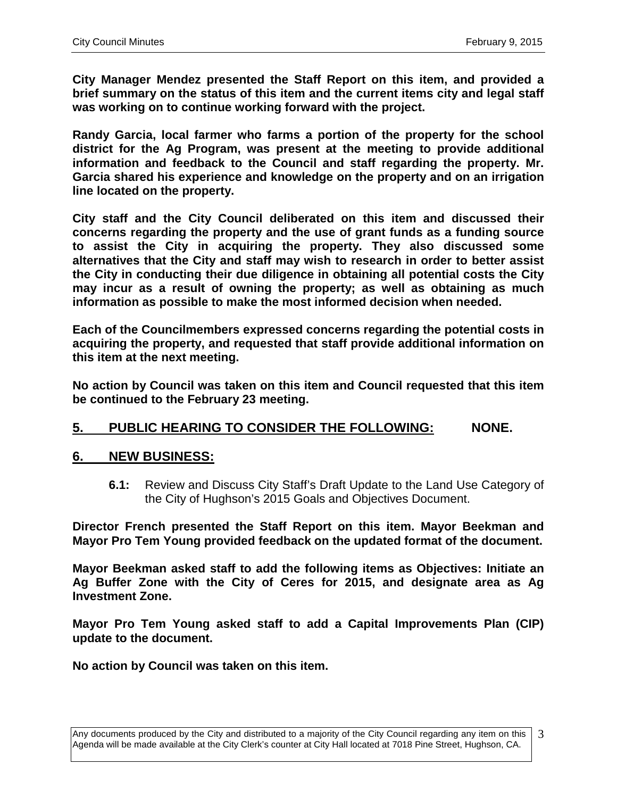**City Manager Mendez presented the Staff Report on this item, and provided a brief summary on the status of this item and the current items city and legal staff was working on to continue working forward with the project.** 

**Randy Garcia, local farmer who farms a portion of the property for the school district for the Ag Program, was present at the meeting to provide additional information and feedback to the Council and staff regarding the property. Mr. Garcia shared his experience and knowledge on the property and on an irrigation line located on the property.** 

**City staff and the City Council deliberated on this item and discussed their concerns regarding the property and the use of grant funds as a funding source to assist the City in acquiring the property. They also discussed some alternatives that the City and staff may wish to research in order to better assist the City in conducting their due diligence in obtaining all potential costs the City may incur as a result of owning the property; as well as obtaining as much information as possible to make the most informed decision when needed.** 

**Each of the Councilmembers expressed concerns regarding the potential costs in acquiring the property, and requested that staff provide additional information on this item at the next meeting.** 

**No action by Council was taken on this item and Council requested that this item be continued to the February 23 meeting.** 

# **5. PUBLIC HEARING TO CONSIDER THE FOLLOWING: NONE.**

## **6. NEW BUSINESS:**

**6.1:** Review and Discuss City Staff's Draft Update to the Land Use Category of the City of Hughson's 2015 Goals and Objectives Document.

**Director French presented the Staff Report on this item. Mayor Beekman and Mayor Pro Tem Young provided feedback on the updated format of the document.**

**Mayor Beekman asked staff to add the following items as Objectives: Initiate an Ag Buffer Zone with the City of Ceres for 2015, and designate area as Ag Investment Zone.**

**Mayor Pro Tem Young asked staff to add a Capital Improvements Plan (CIP) update to the document.** 

**No action by Council was taken on this item.**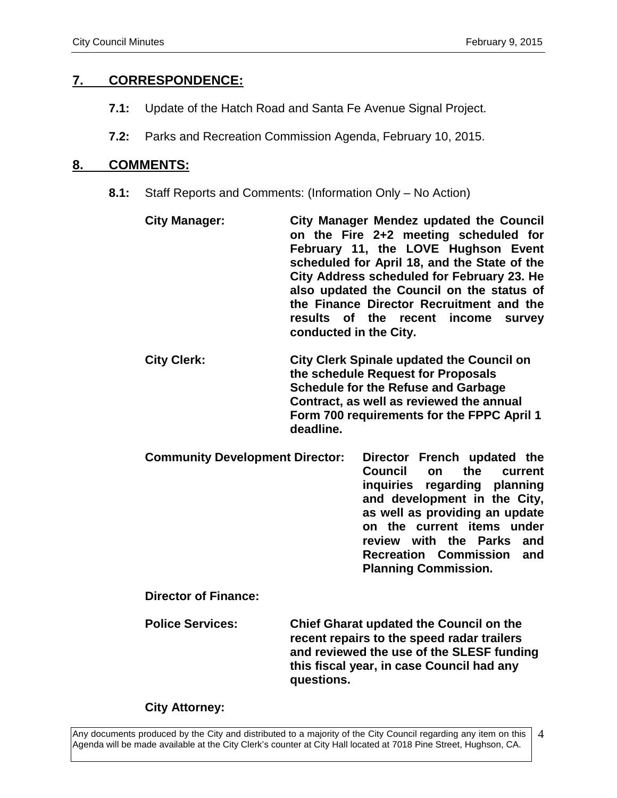## **7. CORRESPONDENCE:**

- **7.1:** Update of the Hatch Road and Santa Fe Avenue Signal Project.
- **7.2:** Parks and Recreation Commission Agenda, February 10, 2015.

## **8. COMMENTS:**

- **8.1:** Staff Reports and Comments: (Information Only No Action)
	- **City Manager: City Manager Mendez updated the Council on the Fire 2+2 meeting scheduled for February 11, the LOVE Hughson Event scheduled for April 18, and the State of the City Address scheduled for February 23. He also updated the Council on the status of the Finance Director Recruitment and the results of the recent income survey conducted in the City.**
	- **City Clerk: City Clerk Spinale updated the Council on the schedule Request for Proposals Schedule for the Refuse and Garbage Contract, as well as reviewed the annual Form 700 requirements for the FPPC April 1 deadline.**
	- **Community Development Director: Director French updated the Council on the current inquiries regarding planning and development in the City, as well as providing an update on the current items under review with the Parks and Recreation Commission and Planning Commission.**

**Director of Finance:**

**Police Services: Chief Gharat updated the Council on the recent repairs to the speed radar trailers and reviewed the use of the SLESF funding this fiscal year, in case Council had any questions.** 

### **City Attorney:**

Any documents produced by the City and distributed to a majority of the City Council regarding any item on this Agenda will be made available at the City Clerk's counter at City Hall located at 7018 Pine Street, Hughson, CA. 4